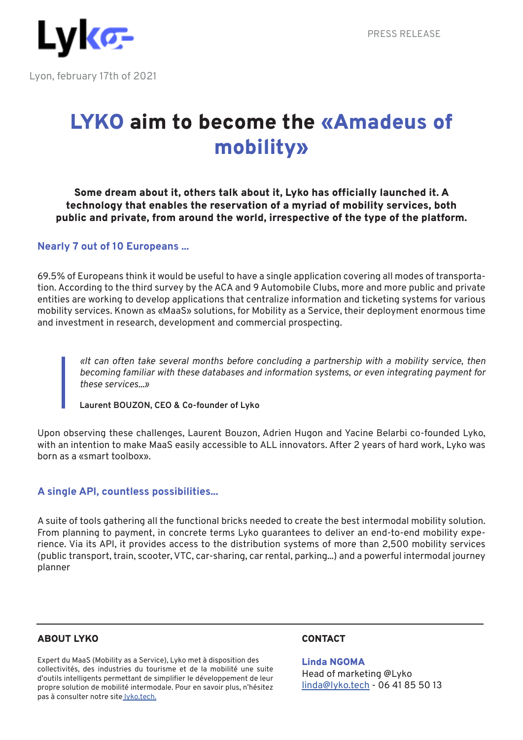

# LYKO aim to become the «Amadeus of mobility»

Some dream about it, others talk about it, Lyko has officially launched it. A technology that enables the reservation of a myriad of mobility services, both public and private, from around the world, irrespective of the type of the platform.

### **Nearly 7 out of 10 Europeans ...**

69.5% of Europeans think it would be useful to have a single application covering all modes of transportation. According to the third survey by the ACA and 9 Automobile Clubs, more and more public and private entities are working to develop applications that centralize information and ticketing systems for various mobility services. Known as «MaaS» solutions, for Mobility as a Service, their deployment enormous time and investment in research, development and commercial prospecting.

*«It can often take several months before concluding a partnership with a mobility service, then becoming familiar with these databases and information systems, or even integrating payment for these services...»*

**Laurent BOUZON, CEO & Co-founder of Lyko**

Upon observing these challenges, Laurent Bouzon, Adrien Hugon and Yacine Belarbi co-founded Lyko, with an intention to make MaaS easily accessible to ALL innovators. After 2 years of hard work, Lyko was born as a «smart toolbox».

# **A single API, countless possibilities...**

A suite of tools gathering all the functional bricks needed to create the best intermodal mobility solution. From planning to payment, in concrete terms Lyko guarantees to deliver an end-to-end mobility experience. Via its API, it provides access to the distribution systems of more than 2,500 mobility services (public transport, train, scooter, VTC, car-sharing, car rental, parking...) and a powerful intermodal journey planner

#### ABOUT LYKO

Expert du MaaS (Mobility as a Service), Lyko met à disposition des collectivités, des industries du tourisme et de la mobilité une suite d'outils intelligents permettant de simplifier le développement de leur propre solution de mobilité intermodale. Pour en savoir plus, n'hésitez pas à consulter notre site lyko.tech.

# **CONTACT**

Linda NGOMA Head of marketing @Lyko linda@lyko.tech - 06 41 85 50 13